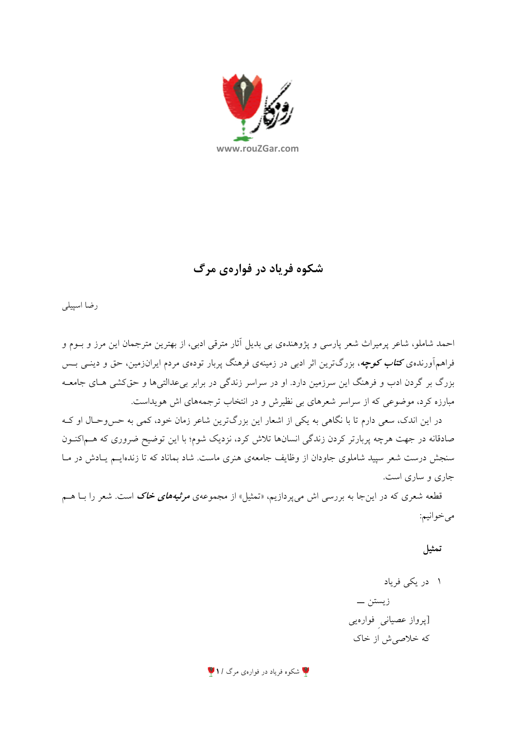

شکوه فریاد در فوارهی مرگ

رضا اسپيلي

احمد شاملو، شاعر پرمیراث شعر پارسی و پژوهندهی بی بدیل آثار مترقی ادبی، از بهترین مترجمان این مرز و بـوم و فراهمآورندهی **کت***اب کوچه***،** بزرگترین اثر ادبی در زمینهی فرهنگ پربار تودهی مردم ایرانزمین، حق و دینــی بــس بزرگ بر گردن ادب و فرهنگ این سرزمین دارد. او در سراسر زندگی در برابر بیعدالتیها و حقکشی هـای جامعـه مبارزه کرد، موضوعی که از سراسر شعرهای بی نظیرش و در انتخاب ترجمههای اش هویداست.

در این اندک، سعی دارم تا با نگاهی به یکی از اشعار این بزرگترین شاعر زمان خود، کمی به حس وحـال او کـه صادقانه در جهت هرچه پربارتر کردن زندگی انسانها تلاش کرد، نزدیک شوم؛ با این توضیح ضروری که هــماکنــون سنجش درست شعر سپید شاملوی جاودان از وظایف جامعهی هنری ماست. شاد بماناد که تا زندهایــم یــادش در مــا جاری و ساری است.

قطعه شعری که در اینجا به بررسی اش میپردازیم، «تمثیل» از مجموعهی *مرثیههای خاک* است. شعر را بــا هــم مي خوانيع:

تمثيل

**پا** شکوه فریاد در فوارهی مرگ **/ ۱** پا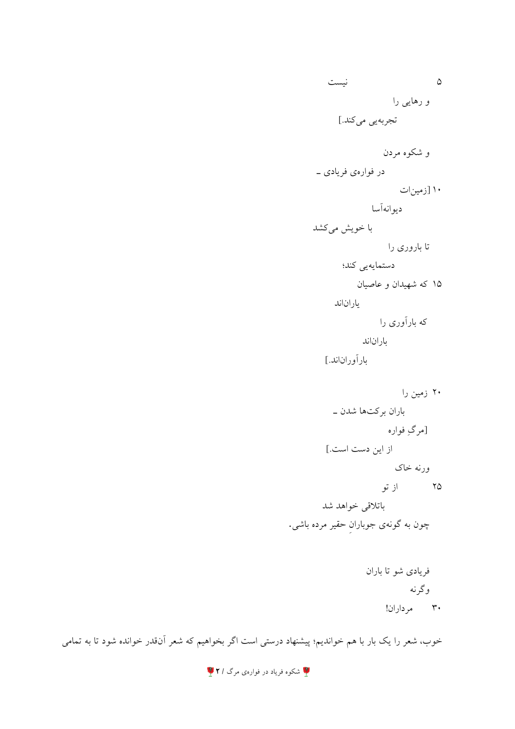نيست  $\sim$ و رهایی را تجربهيي ميكند.] و شکوه مردن در فوارهي فريادي \_ ۱۰ [زمینات ديوانهأسا با خویش میکشد تا باروری را دستمايەيى كند؛ ۱۵ که شهیدان و عاصیان بار ان|ند که بارآوری را یار ان|ند بارآوراناند.] ۲۰ زمین را باران برکتها شدن \_ [مرگِ فواره از این دست است.] ورنه خاک ۲۵ از تو باتلاقى خواهد شد چون به گونهی جوباران حقیر مرده باشی.

> فريادي شو تا باران وگر نه ۳۰ مرداران!

خوب، شعر را یک بار با هم خواندیم؛ پیشنهاد درستی است اگر بخواهیم که شعر آنقدر خوانده شود تا به تمامی

**لگا** شکوه فریاد در فوارهی مرگ **/ ۲** لگا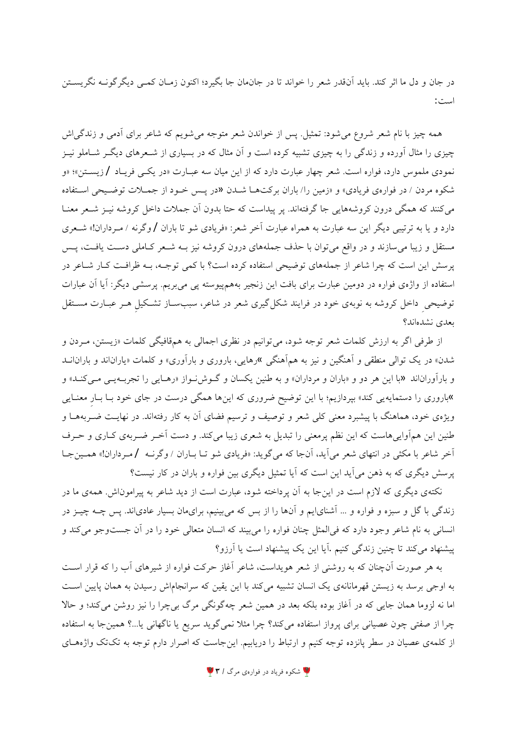در جان و دل ما اثر كند. بايد آنقدر شعر را خواند تا در جانهان جا بگيرد؛ اكنون زمـان كمـي ديگر گونــه نگريســتن است:

همه چیز با نام شعر شروع می شود: تمثیل. پس از خواندن شعر متوجه می شویم که شاعر برای آدمی و زندگی اش چیزی را مثال آورده و زندگی را به چیزی تشبیه کرده است و آن مثال که در بسیاری از شـعرهای دیگـر شـاملو نیـز نمودی ملموس دارد، فواره است. شعر چهار عبارت دارد که از این میان سه عبـارت «در یکـی فریـاد /زیســتن»؛ «و شکوه مردن / در فوارهي فريادي» و «زمين را/ باران برکتهـا شـدن «در يـس خـود از جمـلات توضـيحي اسـتفاده می کنند که همگی درون کروشههایی جا گرفتهاند. پر پیداست که حتا بدون آن جملات داخل کروشه نیـز شـعر معنـا دارد و یا به ترتیبی دیگر این سه عبارت به همراه عبارت آخر شعر: «فریادی شو تا باران /وگرنه / مـرداران!» شـعری مستقل و زیبا می سازند و در واقع می توان با حذف جملههای درون کروشه نیز بـه شـعر کـاملی دسـت یافـت، پـس پرسش این است که چرا شاعر از جملههای توضیحی استفاده کرده است؟ با کمی توجـه، بـه ظرافـت کـار شـاعر در استفاده از واژهی فواره در دومین عبارت برای بافت این زنجیر بههمپیوسته یی می بریم. پرسشی دیگر: آیا آن عبارات توضیحی داخل کروشه به نوبهی خود در فرایند شکل گیری شعر در شاعر، سببساز تشکیل هـر عبـارت مسـتقل بعدي نشدهاند؟

از طرفی اگر به ارزش کلمات شعر توجه شود، میتوانیم در نظری اجمالی به همقافیگی کلمات «زیستن، مـردن و شدن» در یک توالی منطقی و آهنگین و نیز به همآهنگی »رهایی، باروری و بارآوری» و کلمات «یاراناند و بارانانـد و بارآوراناند «با این هر دو و «باران و مرداران» و به طنین یکسان و گـوش نواز «رهـایی را تجربـهیـی مـیکنـد» و »باروری را دستمایه یی کند» بپردازیم؛ با این توضیح ضروری که اینها همگی درست در جای خود بـا بـار معنـایی ویژهی خود، هماهنگ با پیشبرد معنی کلی شعر و توصیف و ترسیم فضای آن به کار رفتهاند. در نهایـت ضـربههـا و طنین این همآواییهاست که این نظم پرمعنی را تبدیل به شعری زیبا میکند. و دست آخـر ضـربهی کـاری و حـرف آخر شاعر با مکثی در انتهای شعر می آید، آنجا که میگوید: «فریادی شو تـا بـاران / وگرنـه /مـرداران!» همـینجـا پرسش دیگری که به ذهن می آید این است که آیا تمثیل دیگری بین فواره و باران در کار نیست؟

نکتهی دیگری که لازم است در این جا به آن پرداخته شود، عبارت است از دید شاعر به پیراموناش. همهی ما در زندگی با گل و سبزه و فواره و ... آشنایایم و آنها را از بس که میبینیم، برایمان بسیار عادیاند. پس چــه چیــز در انسانی به نام شاعر وجود دارد که فی|لمثل چنان فواره را میبیند که انسان متعالی خود را در آن جستوجو میکند و ییشنهاد میکند تا چنین زندگی کنیم .آیا این یک پیشنهاد است یا آرزو؟

به هر صورت آنچنان که به روشنی از شعر هویداست، شاعر آغاز حرکت فواره از شیرهای آب را که قرار است به اوجی برسد به زیستن قهرمانانهی یک انسان تشبیه میکند با این یقین که سرانجاماش رسیدن به همان پایین است اما نه لزوما همان جایی که در آغاز بوده بلکه بعد در همین شعر چهگونگی مرگ بیچرا را نیز روشن میکند؛ و حالا چرا از صفتی چون عصیانی برای پرواز استفاده میکند؟ چرا مثلاً نمیگوید سریع یا ناگهانی یا…؟ همینجا به استفاده از کلمهی عصیان در سطر پانزده توجه کنیم و ارتباط را دریابیم. اینجاست که اصرار دارم توجه به تکتک واژههـای

**۱ ش**کوه فریاد در فوارهی مرگ **/ ۳**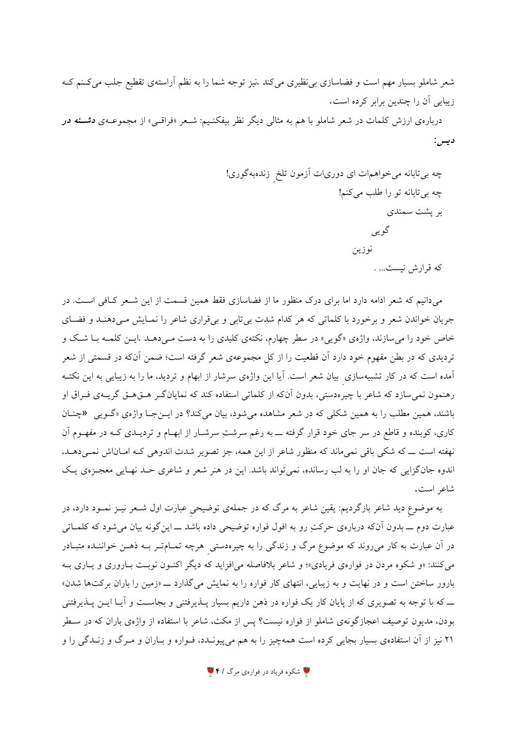شعر شاملو بسیار مهم است و فضاسازی بی نظیری میکند .نیز توجه شما را به نظم آراستهی تقطیع جلب میکنم ک زيبايي آن را چندين برابر كرده است.

دربارهی ارزش کلمات در شعر شاملو با هم به مثال<sub>ی</sub> دیگر نظر بیفکنـیم: شـعر «فراقـی» از مجموعــهی **دشــنه در** ديس :

میدانیم که شعر ادامه دارد اما برای درک منظور ما از فضاسازی فقط همین قسمت از این شـعر کـافی اسـت. در جریان خواندن شعر و برخورد با کلماتی که هر کدام شدت بی تابی و بی قراری شاعر را نمـایش مـی دهنـد و فضـای خاص خود را می سازند، واژهی «گویی» در سطر چهارم، نکتهی کلیدی را به دست مـیدهــد .ایــن کلمــه بــا شــک و تردیدی که در بطن مفهوم خود دارد آن قطعیت را از کل مجموعهی شعر گرفته است؛ ضمن آنکه در قسمتی از شعر آمده است که در کار تشبیهسازی بیان شعر است. آیا این واژهی سرشار از ابهام و تردید، ما را به زیبایی به این نکتـه رهنمون نمی سازد که شاعر با چیرهدستی، بدون آنکه از کلماتی استفاده کند که نمایانگ رهتی هتی گریــهی فــراق او باشند، همين مطلب را به همين شكلي كه در شعر مشاهده مي شود، بيان مي كند؟ در ايــنجـا واژهي «گـويي «چنــان کاری، کوبنده و قاطع در سر جای خود قرار گرفته ـــ به رغم سرشتِ سرشــار از ابهــام و تردیــدی کــه در مفهــوم آن نهفته است ــ که شکی باقی نمیماند که منظور شاعر از این همه، جز تصویر شدت اندوهی کـه امـاناش نمـیدهـد. اندوه جانگزایی که جان او را به لب رسانده، نمی تواند باشد. این در هنر شعر و شاعری حـد نهـایی معجـزهی یـک شاعر است.

به موضوع دید شاعر بازگردیم: یقین شاعر به مرگ که در جملهی توضیحی عبارت اول شــعر نیــز نمــود دارد، در عبارت دوم ـــ بدون آنکه دربارهی حرکتِ رو به افول فواره توضیحی داده باشد ـــ اینگونه بیان میشود که کلمــاتی در آن عبارت به کار میروند که موضوع مرگ و زندگی را به چیرهدستی ً هرچه تمـامتـر بــه ذهــن خواننــده متبــادر می کنند: «و شکوه مردن در فوارهی فریادی»؛ و شاعر بلافاصله میافزاید که دیگر اکنون نوبت باروری و یاری بـه بارور ساختن است و در نهایت و به زیبایی، انتهای کار فواره را به نمایش میگذارد \_ «زمین را باران برکتها شدن» ےکه با توجه به تصویری که از پایان کار یک فواره در ذهن داریم بسیار پــذیرفتنی و بجاســت و آیــا ایــن پــذیرفتنی بودن، مدیون توصیف اعجازگونهی شاملو از فواره نیست؟ پس از مکث، شاعر با استفاده از واژهی باران که در سـطر ۲۱ نیز از آن استفادهی بسیار بجایی کرده است همهچیز را به هم میپیونـدد، فـواره و بـاران و مـرگ و زنـدگی را و

**۱۷** شکوه فریاد در فوارهی مرگ **۱۶** /